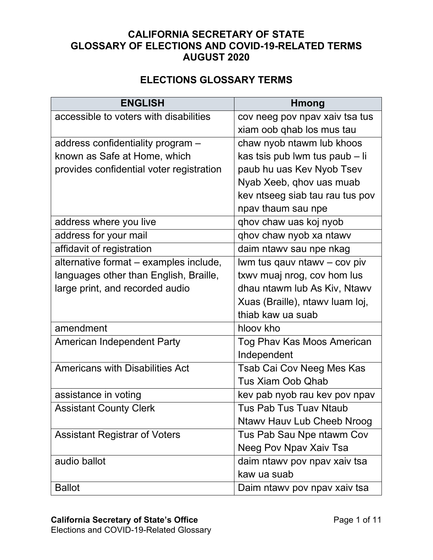## **CALIFORNIA SECRETARY OF STATE GLOSSARY OF ELECTIONS AND COVID-19-RELATED TERMS AUGUST 2020**

## **ELECTIONS GLOSSARY TERMS**

| <b>ENGLISH</b>                           | <b>Hmong</b>                      |
|------------------------------------------|-----------------------------------|
| accessible to voters with disabilities   | cov neeg pov npav xaiv tsa tus    |
|                                          | xiam oob qhab los mus tau         |
| address confidentiality program -        | chaw nyob ntawm lub khoos         |
| known as Safe at Home, which             | kas tsis pub lwm tus paub - li    |
| provides confidential voter registration | paub hu uas Kev Nyob Tsev         |
|                                          | Nyab Xeeb, qhov uas muab          |
|                                          | kev ntseeg siab tau rau tus pov   |
|                                          | npav thaum sau npe                |
| address where you live                   | qhov chaw uas koj nyob            |
| address for your mail                    | qhov chaw nyob xa ntawy           |
| affidavit of registration                | daim ntawv sau npe nkag           |
| alternative format - examples include,   | lwm tus qauv ntawy - cov piv      |
| languages other than English, Braille,   | txwy muaj nrog, cov hom lus       |
| large print, and recorded audio          | dhau ntawm lub As Kiv, Ntawv      |
|                                          | Xuas (Braille), ntawy luam loj,   |
|                                          | thiab kaw ua suab                 |
| amendment                                | hloov kho                         |
| <b>American Independent Party</b>        | Tog Phav Kas Moos American        |
|                                          | Independent                       |
| <b>Americans with Disabilities Act</b>   | Tsab Cai Cov Neeg Mes Kas         |
|                                          | <b>Tus Xiam Oob Qhab</b>          |
| assistance in voting                     | kev pab nyob rau kev pov npav     |
| <b>Assistant County Clerk</b>            | <b>Tus Pab Tus Tuav Ntaub</b>     |
|                                          | <b>Ntawy Hauv Lub Cheeb Nroog</b> |
| <b>Assistant Registrar of Voters</b>     | Tus Pab Sau Npe ntawm Cov         |
|                                          | Neeg Pov Npav Xaiv Tsa            |
| audio ballot                             | daim ntawy pov npav xaiv tsa      |
|                                          | kaw ua suab                       |
| <b>Ballot</b>                            | Daim ntawy pov npav xaiv tsa      |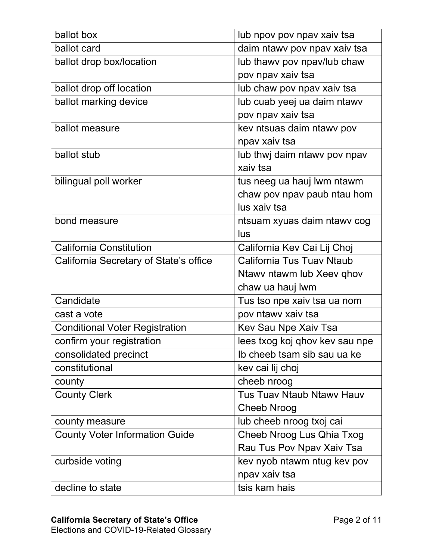| ballot box                             | lub npov pov npav xaiv tsa       |
|----------------------------------------|----------------------------------|
| ballot card                            | daim ntawy pov npav xaiv tsa     |
| ballot drop box/location               | lub thawy pov npav/lub chaw      |
|                                        | pov npav xaiv tsa                |
| ballot drop off location               | lub chaw pov npav xaiv tsa       |
| ballot marking device                  | lub cuab yeej ua daim ntawv      |
|                                        | pov npav xaiv tsa                |
| ballot measure                         | kev ntsuas daim ntawy pov        |
|                                        | npav xaiv tsa                    |
| ballot stub                            | lub thwj daim ntawy pov npav     |
|                                        | xaiv tsa                         |
| bilingual poll worker                  | tus neeg ua hauj lwm ntawm       |
|                                        | chaw pov npav paub ntau hom      |
|                                        | lus xaiv tsa                     |
| bond measure                           | ntsuam xyuas daim ntawv cog      |
|                                        | lus                              |
| <b>California Constitution</b>         | California Kev Cai Lij Choj      |
| California Secretary of State's office | California Tus Tuay Ntaub        |
|                                        | Ntawy ntawm lub Xeey qhov        |
|                                        | chaw ua hauj lwm                 |
| Candidate                              | Tus tso npe xaiv tsa ua nom      |
| cast a vote                            | pov ntawy xaiv tsa               |
| <b>Conditional Voter Registration</b>  | Kev Sau Npe Xaiv Tsa             |
| confirm your registration              | lees txog koj qhov kev sau npe   |
| consolidated precinct                  | Ib cheeb tsam sib sau ua ke      |
| constitutional                         | kev cai lij choj                 |
| county                                 | cheeb nroog                      |
| <b>County Clerk</b>                    | <b>Tus Tuav Ntaub Ntawy Hauv</b> |
|                                        | <b>Cheeb Nroog</b>               |
| county measure                         | lub cheeb nroog txoj cai         |
| <b>County Voter Information Guide</b>  | Cheeb Nroog Lus Qhia Txog        |
|                                        | Rau Tus Pov Npav Xaiv Tsa        |
| curbside voting                        | kev nyob ntawm ntug kev pov      |
|                                        | npav xaiv tsa                    |
| decline to state                       | tsis kam hais                    |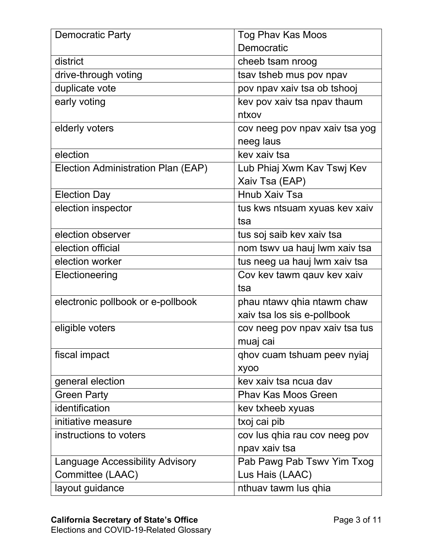| <b>Democratic Party</b>                | <b>Tog Phav Kas Moos</b>       |
|----------------------------------------|--------------------------------|
|                                        | Democratic                     |
| district                               | cheeb tsam nroog               |
| drive-through voting                   | tsay tsheb mus pov npav        |
| duplicate vote                         | pov npav xaiv tsa ob tshooj    |
| early voting                           | kev pov xaiv tsa npav thaum    |
|                                        | ntxov                          |
| elderly voters                         | cov neeg pov npav xaiv tsa yog |
|                                        | neeg laus                      |
| election                               | key xaiy tsa                   |
| Election Administration Plan (EAP)     | Lub Phiaj Xwm Kav Tswj Kev     |
|                                        | Xaiv Tsa (EAP)                 |
| <b>Election Day</b>                    | <b>Hnub Xaiv Tsa</b>           |
| election inspector                     | tus kws ntsuam xyuas kev xaiv  |
|                                        | tsa                            |
| election observer                      | tus soj saib kev xaiv tsa      |
| election official                      | nom tswy ua hauj lwm xaiv tsa  |
| election worker                        | tus neeg ua hauj lwm xaiv tsa  |
| Electioneering                         | Cov kev tawm qauv kev xaiv     |
|                                        | tsa                            |
| electronic pollbook or e-pollbook      | phau ntawv qhia ntawm chaw     |
|                                        | xaiv tsa los sis e-pollbook    |
| eligible voters                        | cov neeg pov npav xaiv tsa tus |
|                                        | muaj cai                       |
| fiscal impact                          | qhov cuam tshuam peev nyiaj    |
|                                        | <b>Xyoo</b>                    |
| general election                       | kev xaiv tsa ncua dav          |
| <b>Green Party</b>                     | <b>Phav Kas Moos Green</b>     |
| identification                         | kev txheeb xyuas               |
| initiative measure                     | txoj cai pib                   |
| instructions to voters                 | cov lus qhia rau cov neeg pov  |
|                                        | npav xaiv tsa                  |
| <b>Language Accessibility Advisory</b> | Pab Pawg Pab Tswv Yim Txog     |
| Committee (LAAC)                       | Lus Hais (LAAC)                |
| layout guidance                        | nthuav tawm lus qhia           |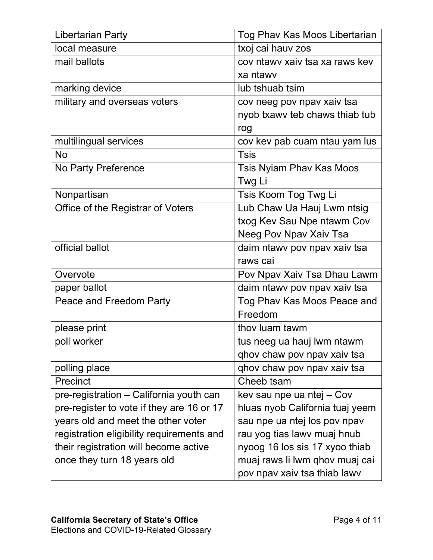| <b>Libertarian Party</b>                  | Tog Phav Kas Moos Libertarian   |
|-------------------------------------------|---------------------------------|
| local measure                             | txoj cai hauv zos               |
| mail ballots                              | cov ntawy xaiy tsa xa raws key  |
|                                           | xa ntawy                        |
| marking device                            | lub tshuab tsim                 |
| military and overseas voters              | cov neeg pov npav xaiv tsa      |
|                                           | nyob txawy teb chaws thiab tub  |
|                                           | rog                             |
| multilingual services                     | cov kev pab cuam ntau yam lus   |
| <b>No</b>                                 | <b>Tsis</b>                     |
| No Party Preference                       | <b>Tsis Nyiam Phav Kas Moos</b> |
|                                           | Twg Li                          |
| Nonpartisan                               | Tsis Koom Tog Twg Li            |
| Office of the Registrar of Voters         | Lub Chaw Ua Hauj Lwm ntsig      |
|                                           | txog Kev Sau Npe ntawm Cov      |
|                                           | Neeg Pov Npav Xaiv Tsa          |
| official ballot                           | daim ntawy pov npav xaiv tsa    |
|                                           | raws cai                        |
| Overvote                                  | Pov Npav Xaiv Tsa Dhau Lawm     |
| paper ballot                              | daim ntawy pov npav xaiv tsa    |
| Peace and Freedom Party                   | Tog Phav Kas Moos Peace and     |
|                                           | Freedom                         |
| please print                              | thoy luam tawm                  |
| poll worker                               | tus neeg ua hauj lwm ntawm      |
|                                           | qhov chaw pov npav xaiv tsa     |
| polling place                             | ghov chaw pov npav xaiv tsa     |
| Precinct                                  | Cheeb tsam                      |
| pre-registration - California youth can   | kev sau npe ua ntej – Cov       |
| pre-register to vote if they are 16 or 17 | hluas nyob California tuaj yeem |
| years old and meet the other voter        | sau npe ua ntej los pov npav    |
| registration eligibility requirements and | rau yog tias lawv muaj hnub     |
| their registration will become active     | nyoog 16 los sis 17 xyoo thiab  |
| once they turn 18 years old               | muaj raws li lwm qhov muaj cai  |
|                                           | pov npav xaiv tsa thiab lawv    |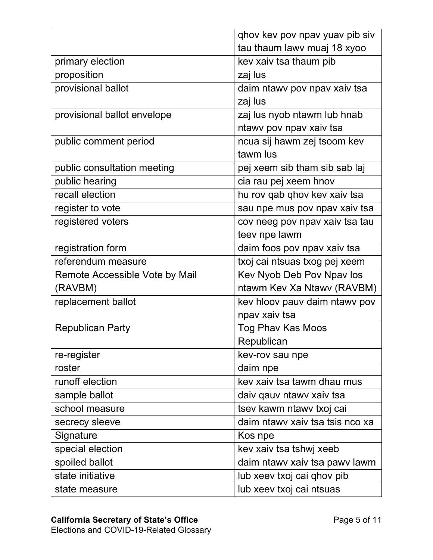|                                | ghov kev pov npav yuav pib siv  |
|--------------------------------|---------------------------------|
|                                | tau thaum lawy muaj 18 xyoo     |
| primary election               | kev xaiv tsa thaum pib          |
| proposition                    | zaj lus                         |
| provisional ballot             | daim ntawy pov npav xaiv tsa    |
|                                | zaj lus                         |
| provisional ballot envelope    | zaj lus nyob ntawm lub hnab     |
|                                | ntawy pov npav xaiv tsa         |
| public comment period          | ncua sij hawm zej tsoom kev     |
|                                | tawm lus                        |
| public consultation meeting    | pej xeem sib tham sib sab laj   |
| public hearing                 | cia rau pej xeem hnov           |
| recall election                | hu rov qab qhov kev xaiv tsa    |
| register to vote               | sau npe mus pov npav xaiv tsa   |
| registered voters              | cov neeg pov npav xaiv tsa tau  |
|                                | teev npe lawm                   |
| registration form              | daim foos pov npav xaiv tsa     |
| referendum measure             | txoj cai ntsuas txog pej xeem   |
| Remote Accessible Vote by Mail | Kev Nyob Deb Pov Npav los       |
| (RAVBM)                        | ntawm Kev Xa Ntawv (RAVBM)      |
| replacement ballot             | kev hloov pauv daim ntawv pov   |
|                                | npav xaiv tsa                   |
| <b>Republican Party</b>        | Tog Phav Kas Moos               |
|                                | Republican                      |
| re-register                    | kev-rov sau npe                 |
| roster                         | daim npe                        |
| runoff election                | key xaiy tsa tawm dhau mus      |
| sample ballot                  | daiv qauv ntawv xaiv tsa        |
| school measure                 | tsev kawm ntawv txoj cai        |
| secrecy sleeve                 | daim ntawy xaiv tsa tsis nco xa |
| Signature                      | Kos npe                         |
| special election               | kev xaiv tsa tshwj xeeb         |
| spoiled ballot                 | daim ntawy xaiv tsa pawy lawm   |
| state initiative               | lub xeev txoj cai qhov pib      |
| state measure                  | lub xeev txoj cai ntsuas        |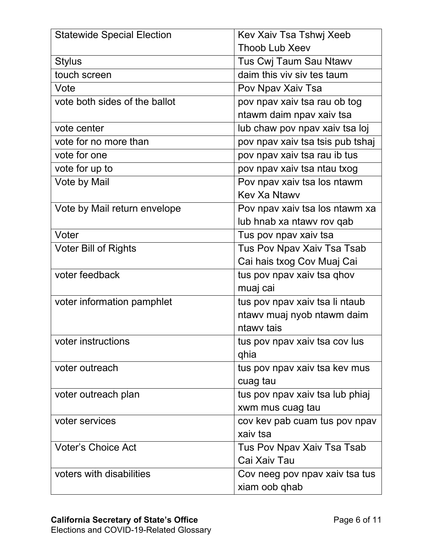| <b>Statewide Special Election</b> | Kev Xaiv Tsa Tshwj Xeeb          |
|-----------------------------------|----------------------------------|
|                                   | <b>Thoob Lub Xeev</b>            |
| <b>Stylus</b>                     | Tus Cwj Taum Sau Ntawv           |
| touch screen                      | daim this viv siv tes taum       |
| Vote                              | Pov Npav Xaiv Tsa                |
| vote both sides of the ballot     | pov npav xaiv tsa rau ob tog     |
|                                   | ntawm daim npav xaiv tsa         |
| vote center                       | lub chaw pov npav xaiv tsa loj   |
| vote for no more than             | pov npav xaiv tsa tsis pub tshaj |
| vote for one                      | pov npav xaiv tsa rau ib tus     |
| vote for up to                    | pov npav xaiv tsa ntau txog      |
| Vote by Mail                      | Pov npav xaiv tsa los ntawm      |
|                                   | <b>Key Xa Ntawy</b>              |
| Vote by Mail return envelope      | Pov npav xaiv tsa los ntawm xa   |
|                                   | lub hnab xa ntawy rov qab        |
| Voter                             | Tus pov npav xaiv tsa            |
| <b>Voter Bill of Rights</b>       | Tus Pov Npav Xaiv Tsa Tsab       |
|                                   | Cai hais txog Cov Muaj Cai       |
| voter feedback                    | tus pov npav xaiv tsa qhov       |
|                                   | muaj cai                         |
| voter information pamphlet        | tus pov npav xaiv tsa li ntaub   |
|                                   | ntawy muaj nyob ntawm daim       |
|                                   | ntawy tais                       |
| voter instructions                | tus pov npav xaiv tsa cov lus    |
|                                   | qhia                             |
| voter outreach                    | tus pov npav xaiv tsa kev mus    |
|                                   | cuag tau                         |
| voter outreach plan               | tus pov npav xaiv tsa lub phiaj  |
|                                   | xwm mus cuag tau                 |
| voter services                    | cov kev pab cuam tus pov npav    |
|                                   | xaiv tsa                         |
| <b>Voter's Choice Act</b>         | Tus Pov Npav Xaiv Tsa Tsab       |
|                                   | Cai Xaiv Tau                     |
| voters with disabilities          | Cov neeg pov npav xaiv tsa tus   |
|                                   | xiam oob qhab                    |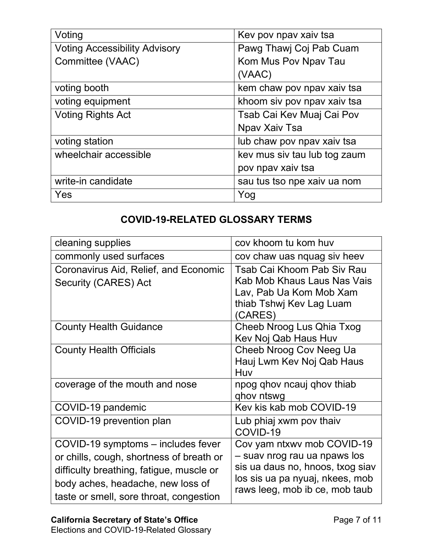| Voting                               | Kev pov npav xaiv tsa        |
|--------------------------------------|------------------------------|
| <b>Voting Accessibility Advisory</b> | Pawg Thawj Coj Pab Cuam      |
| Committee (VAAC)                     | Kom Mus Pov Npav Tau         |
|                                      | (VAAC)                       |
| voting booth                         | kem chaw pov npav xaiv tsa   |
| voting equipment                     | khoom siv pov npav xaiv tsa  |
| <b>Voting Rights Act</b>             | Tsab Cai Kev Muaj Cai Pov    |
|                                      | Npav Xaiv Tsa                |
| voting station                       | lub chaw pov npav xaiv tsa   |
| wheelchair accessible                | key mus siy tau lub tog zaum |
|                                      | pov npav xaiv tsa            |
| write-in candidate                   | sau tus tso npe xaiv ua nom  |
| Yes                                  | Yog                          |

## **COVID-19-RELATED GLOSSARY TERMS**

| cleaning supplies                        | cov khoom tu kom huv             |
|------------------------------------------|----------------------------------|
| commonly used surfaces                   | cov chaw uas nquag siv heev      |
| Coronavirus Aid, Relief, and Economic    | Tsab Cai Khoom Pab Siv Rau       |
| Security (CARES) Act                     | Kab Mob Khaus Laus Nas Vais      |
|                                          | Lav, Pab Ua Kom Mob Xam          |
|                                          | thiab Tshwj Kev Lag Luam         |
|                                          | (CARES)                          |
| <b>County Health Guidance</b>            | Cheeb Nroog Lus Qhia Txog        |
|                                          | Kev Noj Qab Haus Huv             |
| <b>County Health Officials</b>           | Cheeb Nroog Cov Neeg Ua          |
|                                          | Hauj Lwm Kev Noj Qab Haus        |
|                                          | Huv                              |
| coverage of the mouth and nose           | npog qhov ncauj qhov thiab       |
|                                          | ghov ntswg                       |
| COVID-19 pandemic                        | Kev kis kab mob COVID-19         |
| COVID-19 prevention plan                 | Lub phiaj xwm pov thaiv          |
|                                          | COVID-19                         |
| COVID-19 symptoms – includes fever       | Cov yam ntxwv mob COVID-19       |
| or chills, cough, shortness of breath or | – suav nrog rau ua npaws los     |
| difficulty breathing, fatigue, muscle or | sis ua daus no, hnoos, txog siav |
| body aches, headache, new loss of        | los sis ua pa nyuaj, nkees, mob  |
|                                          | raws leeg, mob ib ce, mob taub   |
| taste or smell, sore throat, congestion  |                                  |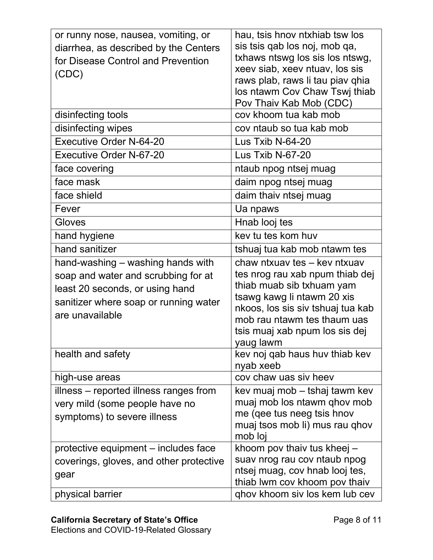| or runny nose, nausea, vomiting, or<br>diarrhea, as described by the Centers<br>for Disease Control and Prevention<br>(CDC)                                             | hau, tsis hnov ntxhiab tsw los<br>sis tsis qab los noj, mob qa,<br>txhaws ntswg los sis los ntswg,<br>xeev siab, xeev ntuav, los sis<br>raws plab, raws li tau piav qhia                                                                      |
|-------------------------------------------------------------------------------------------------------------------------------------------------------------------------|-----------------------------------------------------------------------------------------------------------------------------------------------------------------------------------------------------------------------------------------------|
|                                                                                                                                                                         | los ntawm Cov Chaw Tswi thiab<br>Pov Thaiv Kab Mob (CDC)                                                                                                                                                                                      |
| disinfecting tools                                                                                                                                                      | cov khoom tua kab mob                                                                                                                                                                                                                         |
| disinfecting wipes                                                                                                                                                      | cov ntaub so tua kab mob                                                                                                                                                                                                                      |
| <b>Executive Order N-64-20</b>                                                                                                                                          | Lus Txib N-64-20                                                                                                                                                                                                                              |
| <b>Executive Order N-67-20</b>                                                                                                                                          | Lus Txib N-67-20                                                                                                                                                                                                                              |
| face covering                                                                                                                                                           | ntaub npog ntsej muag                                                                                                                                                                                                                         |
| face mask                                                                                                                                                               | daim npog ntsej muag                                                                                                                                                                                                                          |
| face shield                                                                                                                                                             | daim thaiv ntsej muag                                                                                                                                                                                                                         |
| Fever                                                                                                                                                                   | Ua npaws                                                                                                                                                                                                                                      |
| Gloves                                                                                                                                                                  | Hnab looj tes                                                                                                                                                                                                                                 |
| hand hygiene                                                                                                                                                            | kev tu tes kom huv                                                                                                                                                                                                                            |
| hand sanitizer                                                                                                                                                          | tshuaj tua kab mob ntawm tes                                                                                                                                                                                                                  |
| hand-washing – washing hands with<br>soap and water and scrubbing for at<br>least 20 seconds, or using hand<br>sanitizer where soap or running water<br>are unavailable | chaw ntxuay tes - key ntxuay<br>tes nrog rau xab npum thiab dej<br>thiab muab sib txhuam yam<br>tsawg kawg li ntawm 20 xis<br>nkoos, los sis siv tshuaj tua kab<br>mob rau ntawm tes thaum uas<br>tsis muaj xab npum los sis dej<br>yaug lawm |
| health and safety                                                                                                                                                       | kev noj qab haus huv thiab kev<br>nyab xeeb                                                                                                                                                                                                   |
| high-use areas                                                                                                                                                          | cov chaw uas siv heev                                                                                                                                                                                                                         |
| illness – reported illness ranges from<br>very mild (some people have no<br>symptoms) to severe illness                                                                 | kev muaj mob – tshaj tawm kev<br>muaj mob los ntawm qhov mob<br>me (qee tus neeg tsis hnov<br>muaj tsos mob li) mus rau qhov<br>mob loj                                                                                                       |
| protective equipment – includes face<br>coverings, gloves, and other protective                                                                                         | khoom pov thaiv tus kheej -<br>suav nrog rau cov ntaub npog                                                                                                                                                                                   |
| gear                                                                                                                                                                    | ntsej muag, cov hnab looj tes,<br>thiab Iwm cov khoom pov thaiv                                                                                                                                                                               |
| physical barrier                                                                                                                                                        | ghov khoom siv los kem lub cev                                                                                                                                                                                                                |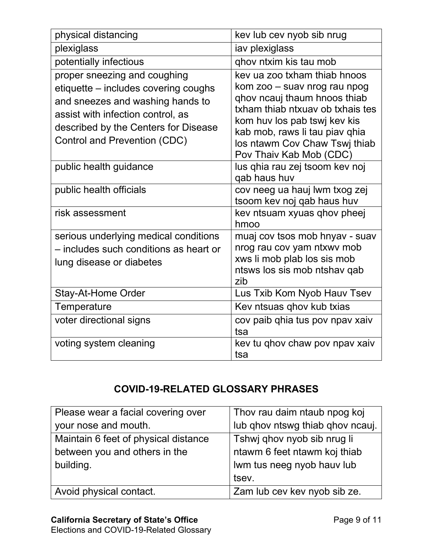| physical distancing                                                                                                                                                                                                   | kev lub cev nyob sib nrug                                                                                                                                                                                                                                      |
|-----------------------------------------------------------------------------------------------------------------------------------------------------------------------------------------------------------------------|----------------------------------------------------------------------------------------------------------------------------------------------------------------------------------------------------------------------------------------------------------------|
| plexiglass                                                                                                                                                                                                            | iav plexiglass                                                                                                                                                                                                                                                 |
| potentially infectious                                                                                                                                                                                                | ghov ntxim kis tau mob                                                                                                                                                                                                                                         |
| proper sneezing and coughing<br>etiquette – includes covering coughs<br>and sneezes and washing hands to<br>assist with infection control, as<br>described by the Centers for Disease<br>Control and Prevention (CDC) | key ua zoo txham thiab hnoos<br>kom zoo – suav nrog rau npog<br>qhov ncauj thaum hnoos thiab<br>txham thiab ntxuay ob txhais tes<br>kom huv los pab tswj kev kis<br>kab mob, raws li tau piav qhia<br>los ntawm Cov Chaw Tswi thiab<br>Pov Thaiv Kab Mob (CDC) |
| public health guidance                                                                                                                                                                                                | lus qhia rau zej tsoom kev noj<br>qab haus huv                                                                                                                                                                                                                 |
| public health officials                                                                                                                                                                                               | cov neeg ua hauj lwm txog zej<br>tsoom kev noj qab haus huv                                                                                                                                                                                                    |
| risk assessment                                                                                                                                                                                                       | key ntsuam xyuas ghoy pheej<br>hmoo                                                                                                                                                                                                                            |
| serious underlying medical conditions<br>- includes such conditions as heart or<br>lung disease or diabetes                                                                                                           | muaj cov tsos mob hnyav - suav<br>nrog rau cov yam ntxwy mob<br>xws li mob plab los sis mob<br>ntsws los sis mob ntshav qab<br>zib                                                                                                                             |
| <b>Stay-At-Home Order</b>                                                                                                                                                                                             | Lus Txib Kom Nyob Hauv Tsev                                                                                                                                                                                                                                    |
| Temperature                                                                                                                                                                                                           | Kev ntsuas qhov kub txias                                                                                                                                                                                                                                      |
| voter directional signs                                                                                                                                                                                               | cov paib qhia tus pov npav xaiv<br>tsa                                                                                                                                                                                                                         |
| voting system cleaning                                                                                                                                                                                                | kev tu qhov chaw pov npav xaiv<br>tsa                                                                                                                                                                                                                          |

## **COVID-19-RELATED GLOSSARY PHRASES**

| Please wear a facial covering over   | Thov rau daim ntaub npog koj     |
|--------------------------------------|----------------------------------|
| your nose and mouth.                 | lub qhov ntswg thiab qhov ncauj. |
| Maintain 6 feet of physical distance | Tshwj qhov nyob sib nrug li      |
| between you and others in the        | ntawm 6 feet ntawm koj thiab     |
| building.                            | Iwm tus neeg nyob hauv lub       |
|                                      | tsev.                            |
| Avoid physical contact.              | Zam lub cev kev nyob sib ze.     |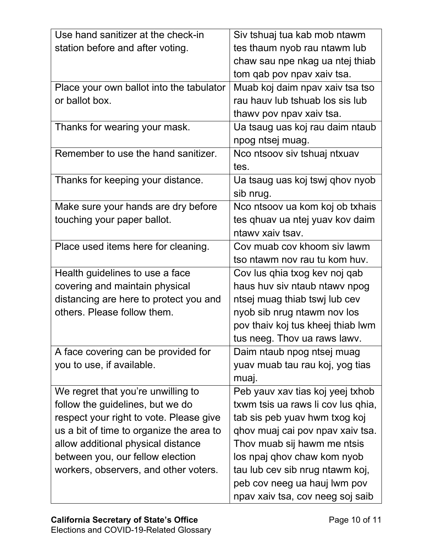| Use hand sanitizer at the check-in       | Siv tshuaj tua kab mob ntawm       |
|------------------------------------------|------------------------------------|
| station before and after voting.         | tes thaum nyob rau ntawm lub       |
|                                          | chaw sau npe nkag ua ntej thiab    |
|                                          | tom qab pov npav xaiv tsa.         |
| Place your own ballot into the tabulator | Muab koj daim npav xaiv tsa tso    |
| or ballot box.                           | rau hauv lub tshuab los sis lub    |
|                                          | thawy pov npav xaiv tsa.           |
| Thanks for wearing your mask.            | Ua tsaug uas koj rau daim ntaub    |
|                                          | npog ntsej muag.                   |
| Remember to use the hand sanitizer.      | Nco ntsoov siv tshuaj ntxuav       |
|                                          | tes.                               |
| Thanks for keeping your distance.        | Ua tsaug uas koj tswj qhov nyob    |
|                                          | sib nrug.                          |
| Make sure your hands are dry before      | Nco ntsoov ua kom koj ob txhais    |
| touching your paper ballot.              | tes qhuav ua ntej yuav kov daim    |
|                                          | ntawy xaiy tsay.                   |
| Place used items here for cleaning.      | Cov muab cov khoom siv lawm        |
|                                          | tso ntawm nov ray tu kom huy.      |
| Health guidelines to use a face          | Cov lus qhia txog kev noj qab      |
| covering and maintain physical           | haus huv siv ntaub ntawy npog      |
| distancing are here to protect you and   | ntsej muag thiab tswj lub cev      |
| others. Please follow them.              | nyob sib nrug ntawm nov los        |
|                                          | pov thaiv koj tus kheej thiab lwm  |
|                                          | tus neeg. Thov ua raws lawv.       |
| A face covering can be provided for      | Daim ntaub npog ntsej muag         |
| you to use, if available.                | yuav muab tau rau koj, yog tias    |
|                                          | muaj.                              |
| We regret that you're unwilling to       | Peb yauv xav tias koj yeej txhob   |
| follow the guidelines, but we do         | txwm tsis ua raws li cov lus qhia, |
| respect your right to vote. Please give  | tab sis peb yuav hwm txog koj      |
| us a bit of time to organize the area to | qhov muaj cai pov npav xaiv tsa.   |
| allow additional physical distance       | Thov muab sij hawm me ntsis        |
| between you, our fellow election         | los npaj qhov chaw kom nyob        |
| workers, observers, and other voters.    | tau lub cev sib nrug ntawm koj,    |
|                                          | peb cov neeg ua hauj lwm pov       |
|                                          | npav xaiv tsa, cov neeg soj saib   |